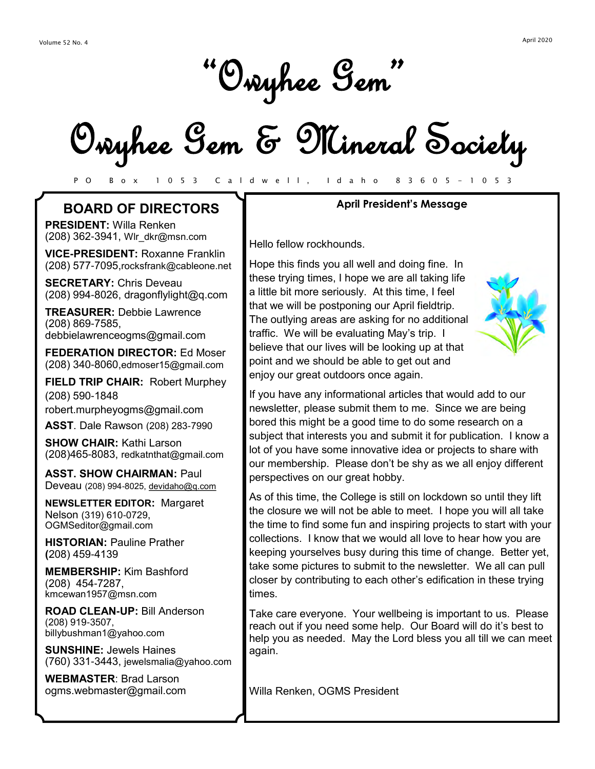"Owyhee Gem"

Owyhee Gem & Mineral Society

P O B o x 1 0 5 3 C a l d w e l l , I d a h o 8 3 6 0 5 - 1053

# **Board of Directors BOARD OF DIRECTORS**

**PRESIDENT:** (208) 362-3941, Wlr\_dkr@msn.com **PRESIDENT:** Willa Renken

**VICE-PRESIDENT:** Roxanne Franklin (208) 577-7095,rocksfrank@cableone.net

**SECRETARY:** Chris Deveau **VICE-PRESIDENT:** (208) 994-8026, dragonflylight@q.com

Janie Ehlers (208) 869-7585, [debbielawrenceogms@gmail.com](mailto:debbielawrenceogms@gmail.com) **TREASURER:** Debbie Lawrence

**SECRETARY:** (208) 340-8060,edmoser15@gmail.com **FEDERATION DIRECTOR:** Ed Moser

**FIELD TRIP CHAIR: Robert Murphey** 459-8027 (208) 590-1848 robert.murpheyogms@gmail.com

**ASST**. Dale Rawson (208) 283-7990

**SHOW CHAIR: Kathi Larson** (208)465-8083, redkatnthat@gmail.com

 $\frac{1}{2}$ Deveau (208) 994-8025, [devidaho@q.com](mailto:devidaho@q.com) **ASST. SHOW CHAIRMAN:** Paul

Ed Moser **NEWSLETTER EDITOR:** Margaret 340-8060 OGMSeditor@gmail.com Nelson (319) 610-0729,

**FIELD TRIP CHAIRMAN: (**208) 459-4139 **HISTORIAN:** Pauline Prather

**MEMBERSHIP:** Kim Bashford ASST: Gene Alvey 440-3067 kmcewan1957@msn.com (208) 454-7287,

**SHOW CHAIRMAN: ROAD CLEAN-UP:** Bill Anderson billybushman1@yahoo.com (208) 919-3507,

**SUNSHINE:** Jewels Haines (760) 331-3443, jewelsmalia@yahoo.com

**WEBMASTER: Brad Larson** ogms.webmaster@gmail.com **April President's Message**

Hello fellow rockhounds.

Hope this finds you all well and doing fine. In these trying times, I hope we are all taking life a little bit more seriously. At this time, I feel that we will be postponing our April fieldtrip. The outlying areas are asking for no additional traffic. We will be evaluating May's trip. I believe that our lives will be looking up at that point and we should be able to get out and enjoy our great outdoors once again.



If you have any informational articles that would add to our newsletter, please submit them to me. Since we are being bored this might be a good time to do some research on a subject that interests you and submit it for publication. I know a lot of you have some innovative idea or projects to share with our membership. Please don't be shy as we all enjoy different perspectives on our great hobby.

As of this time, the College is still on lockdown so until they lift the closure we will not be able to meet. I hope you will all take the time to find some fun and inspiring projects to start with your collections. I know that we would all love to hear how you are keeping yourselves busy during this time of change. Better yet, take some pictures to submit to the newsletter. We all can pull closer by contributing to each other's edification in these trying times.

Take care everyone. Your wellbeing is important to us. Please reach out if you need some help. Our Board will do it's best to help you as needed. May the Lord bless you all till we can meet again.

Willa Renken, OGMS President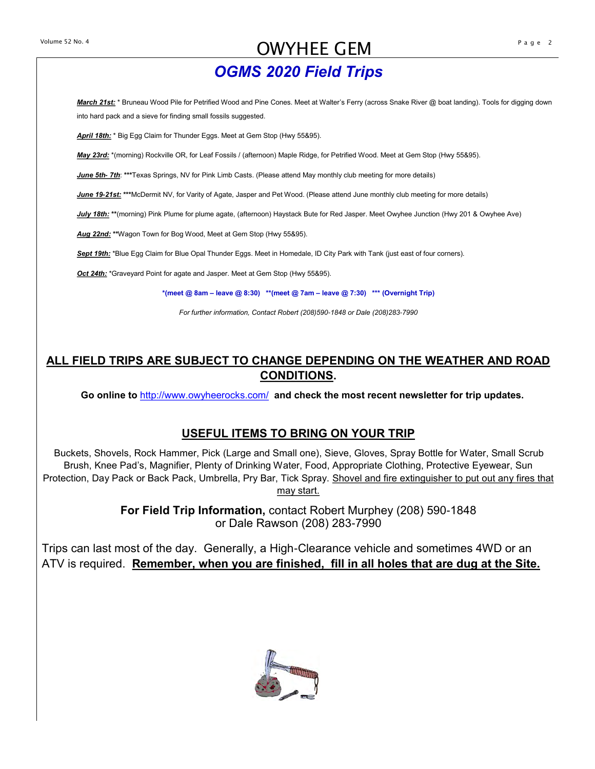# Volume 52 No. 4 P a g e 2

# *OGMS 2020 Field Trips*

*March 21st:* \* Bruneau Wood Pile for Petrified Wood and Pine Cones. Meet at Walter's Ferry (across Snake River @ boat landing). Tools for digging down into hard pack and a sieve for finding small fossils suggested.

*April 18th:* \* Big Egg Claim for Thunder Eggs. Meet at Gem Stop (Hwy 55&95).

*May 23rd:* \*(morning) Rockville OR, for Leaf Fossils / (afternoon) Maple Ridge, for Petrified Wood. Meet at Gem Stop (Hwy 55&95).

*June 5th- 7th*: **\*\*\***Texas Springs, NV for Pink Limb Casts. (Please attend May monthly club meeting for more details)

*June 19-21st:* **\*\*\***McDermit NV, for Varity of Agate, Jasper and Pet Wood. (Please attend June monthly club meeting for more details)

*July 18th:* **\*\***(morning) Pink Plume for plume agate, (afternoon) Haystack Bute for Red Jasper. Meet Owyhee Junction (Hwy 201 & Owyhee Ave)

*Aug 22nd:* **\*\***Wagon Town for Bog Wood, Meet at Gem Stop (Hwy 55&95).

*Sept 19th:* \*Blue Egg Claim for Blue Opal Thunder Eggs. Meet in Homedale, ID City Park with Tank (just east of four corners).

**Oct 24th:** \*Graveyard Point for agate and Jasper. Meet at Gem Stop (Hwy 55&95).

**\*(meet @ 8am – leave @ 8:30) \*\*(meet @ 7am – leave @ 7:30) \*\*\* (Overnight Trip)**

*For further information, Contact Robert (208)590-1848 or Dale (208)283-7990*

### **ALL FIELD TRIPS ARE SUBJECT TO CHANGE DEPENDING ON THE WEATHER AND ROAD CONDITIONS.**

 **Go online to** <http://www.owyheerocks.com/>**and check the most recent newsletter for trip updates.**

#### **USEFUL ITEMS TO BRING ON YOUR TRIP**

Buckets, Shovels, Rock Hammer, Pick (Large and Small one), Sieve, Gloves, Spray Bottle for Water, Small Scrub Brush, Knee Pad's, Magnifier, Plenty of Drinking Water, Food, Appropriate Clothing, Protective Eyewear, Sun Protection, Day Pack or Back Pack, Umbrella, Pry Bar, Tick Spray. Shovel and fire extinguisher to put out any fires that may start.

> **For Field Trip Information,** contact Robert Murphey (208) 590-1848 or Dale Rawson (208) 283-7990

Trips can last most of the day. Generally, a High-Clearance vehicle and sometimes 4WD or an ATV is required. **Remember, when you are finished, fill in all holes that are dug at the Site.**

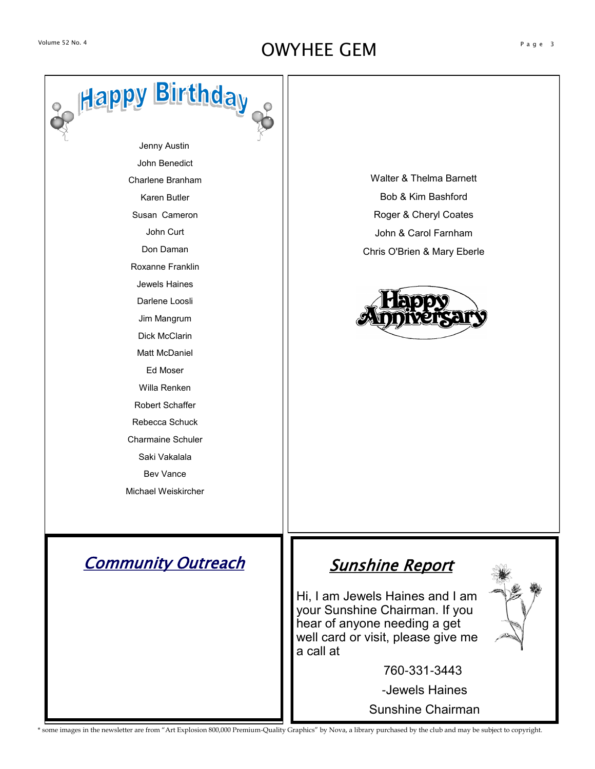# Volume 52 No. 4 P a g e  $\sim 3$



\* some images in the newsletter are from "Art Explosion 800,000 Premium-Quality Graphics" by Nova, a library purchased by the club and may be subject to copyright.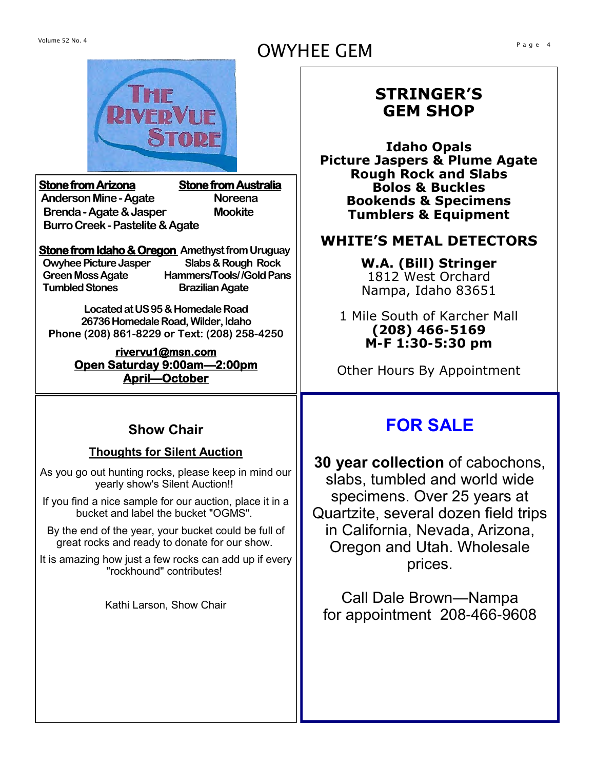# $OWYHEE GEM$



#### **Stone from Arizona Stone from Australia**

 **Anderson Mine -Agate Noreena Brenda -Agate & Jasper Mookite Burro Creek -Pastelite & Agate**

**Stone from Idaho & Oregon Amethyst from Uruguay Owyhee Picture Jasper** Slabs & Rough Rock  **Green Moss Agate Hammers/Tools/ /Gold Pans Tumbled Stones Brazilian Agate** 

**Located at US 95 & Homedale Road 26736 Homedale Road, Wilder, Idaho Phone (208) 861-8229 or Text: (208) 258-4250**

> **rivervu1@msn.com Open Saturday 9:00am—2:00pm April—October**

#### **Show Chair**

#### **Thoughts for Silent Auction**

As you go out hunting rocks, please keep in mind our yearly show's Silent Auction!!

If you find a nice sample for our auction, place it in a bucket and label the bucket "OGMS".

By the end of the year, your bucket could be full of great rocks and ready to donate for our show.

It is amazing how just a few rocks can add up if every "rockhound" contributes!

Kathi Larson, Show Chair

# **STRINGER'S GEM SHOP**

**Idaho Opals Picture Jaspers & Plume Agate Rough Rock and Slabs Bolos & Buckles Bookends & Specimens Tumblers & Equipment**

## **WHITE'S METAL DETECTORS**

**W.A. (Bill) Stringer** 1812 West Orchard Nampa, Idaho 83651

1 Mile South of Karcher Mall **(208) 466-5169 M-F 1:30-5:30 pm**

Other Hours By Appointment

# **FOR SALE**

**30 year collection** of cabochons, slabs, tumbled and world wide specimens. Over 25 years at Quartzite, several dozen field trips in California, Nevada, Arizona, Oregon and Utah. Wholesale prices.

Call Dale Brown—Nampa for appointment 208-466-9608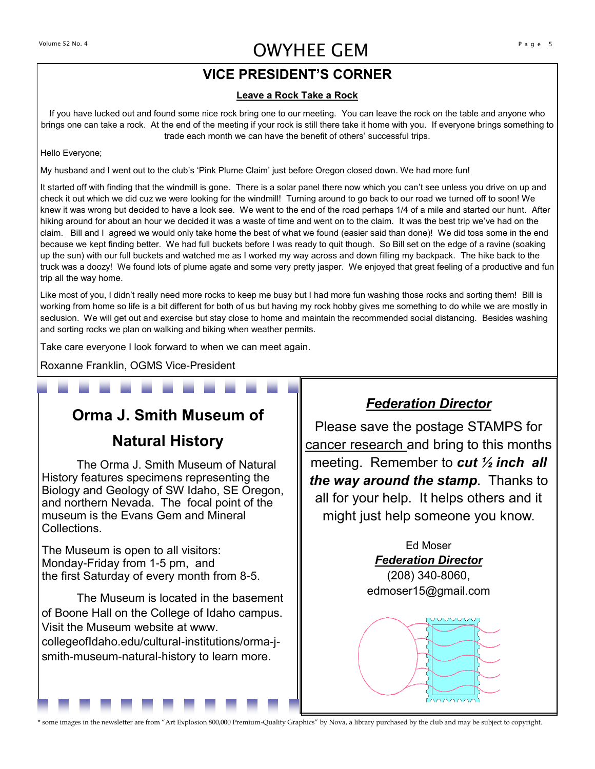# Volume 52 No. 4 P a g e  $\sim 5$

# **VICE PRESIDENT'S CORNER**

#### **Leave a Rock Take a Rock**

If you have lucked out and found some nice rock bring one to our meeting. You can leave the rock on the table and anyone who brings one can take a rock. At the end of the meeting if your rock is still there take it home with you. If everyone brings something to trade each month we can have the benefit of others' successful trips.

Hello Everyone;

My husband and I went out to the club's 'Pink Plume Claim' just before Oregon closed down. We had more fun!

It started off with finding that the windmill is gone. There is a solar panel there now which you can't see unless you drive on up and check it out which we did cuz we were looking for the windmill! Turning around to go back to our road we turned off to soon! We knew it was wrong but decided to have a look see. We went to the end of the road perhaps 1/4 of a mile and started our hunt. After hiking around for about an hour we decided it was a waste of time and went on to the claim. It was the best trip we've had on the claim. Bill and I agreed we would only take home the best of what we found (easier said than done)! We did toss some in the end because we kept finding better. We had full buckets before I was ready to quit though. So Bill set on the edge of a ravine (soaking up the sun) with our full buckets and watched me as I worked my way across and down filling my backpack. The hike back to the truck was a doozy! We found lots of plume agate and some very pretty jasper. We enjoyed that great feeling of a productive and fun trip all the way home.

Like most of you, I didn't really need more rocks to keep me busy but I had more fun washing those rocks and sorting them! Bill is working from home so life is a bit different for both of us but having my rock hobby gives me something to do while we are mostly in seclusion. We will get out and exercise but stay close to home and maintain the recommended social distancing. Besides washing and sorting rocks we plan on walking and biking when weather permits.

Take care everyone I look forward to when we can meet again.

Roxanne Franklin, OGMS Vice-President

# **Orma J. Smith Museum of**

# **Natural History**

The Orma J. Smith Museum of Natural History features specimens representing the Biology and Geology of SW Idaho, SE Oregon, and northern Nevada. The focal point of the museum is the Evans Gem and Mineral Collections.

The Museum is open to all visitors: Monday-Friday from 1-5 pm, and the first Saturday of every month from 8-5.

The Museum is located in the basement of Boone Hall on the College of Idaho campus. Visit the Museum website at www. collegeofIdaho.edu/cultural-institutions/orma-jsmith-museum-natural-history to learn more.

# *Federation Director*

Please save the postage STAMPS for cancer research and bring to this months meeting. Remember to *cut ½ inch all the way around the stamp*. Thanks to all for your help. It helps others and it might just help someone you know.

> Ed Moser *Federation Director* (208) 340-8060, edmoser15@gmail.com



\* some images in the newsletter are from "Art Explosion 800,000 Premium-Quality Graphics" by Nova, a library purchased by the club and may be subject to copyright.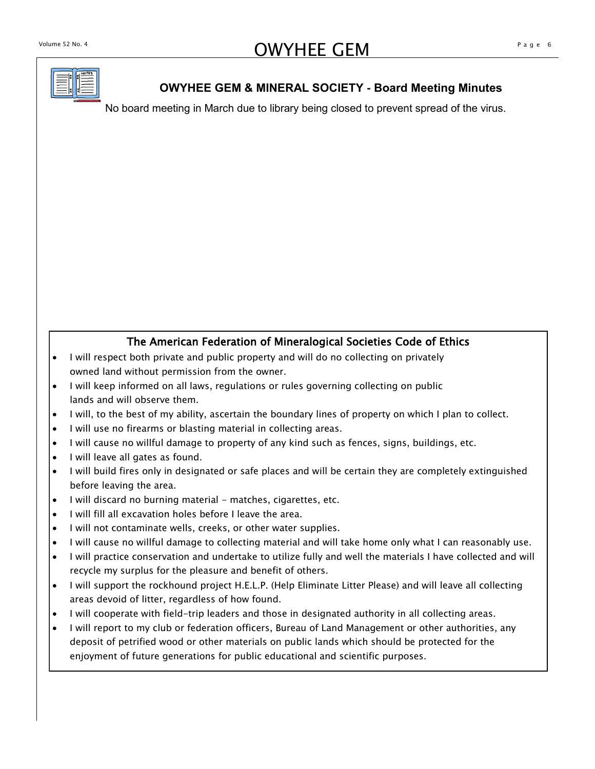# Volume 52 No. 4 **OWYHEE GEM**



#### **OWYHEE GEM & MINERAL SOCIETY - Board Meeting Minutes**

No board meeting in March due to library being closed to prevent spread of the virus.

#### The American Federation of Mineralogical Societies Code of Ethics

- I will respect both private and public property and will do no collecting on privately owned land without permission from the owner.
- I will keep informed on all laws, regulations or rules governing collecting on public lands and will observe them.
- I will, to the best of my ability, ascertain the boundary lines of property on which I plan to collect.
- I will use no firearms or blasting material in collecting areas.
- I will cause no willful damage to property of any kind such as fences, signs, buildings, etc.
- I will leave all gates as found.
- I will build fires only in designated or safe places and will be certain they are completely extinguished before leaving the area.
- I will discard no burning material matches, cigarettes, etc.
- I will fill all excavation holes before I leave the area.
- I will not contaminate wells, creeks, or other water supplies.
- I will cause no willful damage to collecting material and will take home only what I can reasonably use.
- I will practice conservation and undertake to utilize fully and well the materials I have collected and will recycle my surplus for the pleasure and benefit of others.
- I will support the rockhound project H.E.L.P. (Help Eliminate Litter Please) and will leave all collecting areas devoid of litter, regardless of how found.
- I will cooperate with field-trip leaders and those in designated authority in all collecting areas.
- I will report to my club or federation officers, Bureau of Land Management or other authorities, any deposit of petrified wood or other materials on public lands which should be protected for the enjoyment of future generations for public educational and scientific purposes.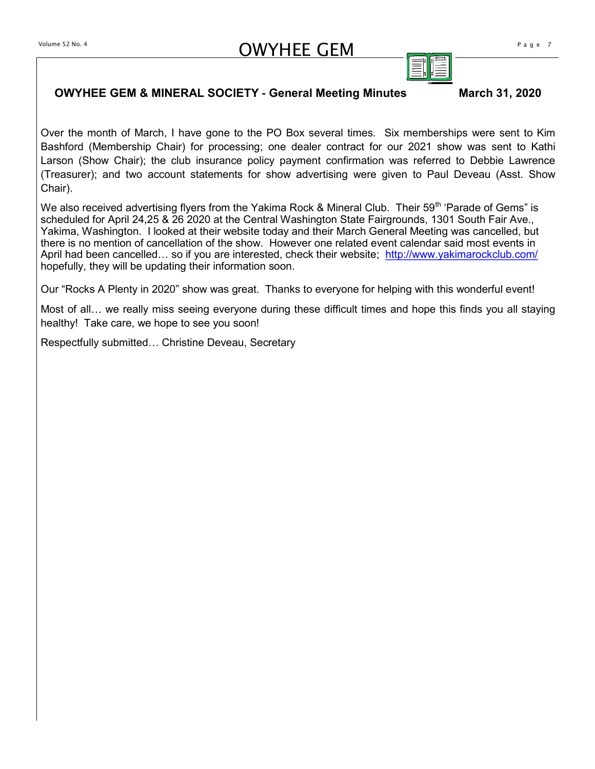# Volume 52 No. 4 **OWYHEE GEM**

#### **OWYHEE GEM & MINERAL SOCIETY - General Meeting Minutes March 31, 2020**

Over the month of March, I have gone to the PO Box several times. Six memberships were sent to Kim Bashford (Membership Chair) for processing; one dealer contract for our 2021 show was sent to Kathi Larson (Show Chair); the club insurance policy payment confirmation was referred to Debbie Lawrence (Treasurer); and two account statements for show advertising were given to Paul Deveau (Asst. Show Chair).

We also received advertising flyers from the Yakima Rock & Mineral Club. Their 59 $^{\text{th}}$  'Parade of Gems" is scheduled for April 24,25 & 26 2020 at the Central Washington State Fairgrounds, 1301 South Fair Ave., Yakima, Washington. I looked at their website today and their March General Meeting was cancelled, but there is no mention of cancellation of the show. However one related event calendar said most events in April had been cancelled… so if you are interested, check their website; <http://www.yakimarockclub.com/> hopefully, they will be updating their information soon.

Our "Rocks A Plenty in 2020" show was great. Thanks to everyone for helping with this wonderful event!

Most of all… we really miss seeing everyone during these difficult times and hope this finds you all staying healthy! Take care, we hope to see you soon!

Respectfully submitted… Christine Deveau, Secretary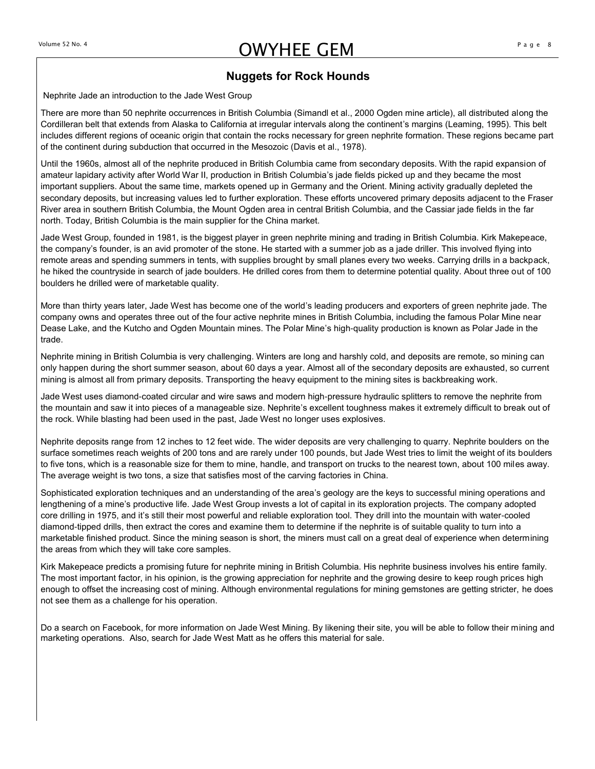# Volume 52 No. 4 **OWYHEE GEM**

#### **Nuggets for Rock Hounds**

Nephrite Jade an introduction to the Jade West Group

There are more than 50 nephrite occurrences in British Columbia (Simandl et al., 2000 Ogden mine article), all distributed along the Cordilleran belt that extends from Alaska to California at irregular intervals along the continent's margins (Leaming, 1995). This belt includes different regions of oceanic origin that contain the rocks necessary for green nephrite formation. These regions became part of the continent during subduction that occurred in the Mesozoic (Davis et al., 1978).

Until the 1960s, almost all of the nephrite produced in British Columbia came from secondary deposits. With the rapid expansion of amateur lapidary activity after World War II, production in British Columbia's jade fields picked up and they became the most important suppliers. About the same time, markets opened up in Germany and the Orient. Mining activity gradually depleted the secondary deposits, but increasing values led to further exploration. These efforts uncovered primary deposits adjacent to the Fraser River area in southern British Columbia, the Mount Ogden area in central British Columbia, and the Cassiar jade fields in the far north. Today, British Columbia is the main supplier for the China market.

Jade West Group, founded in 1981, is the biggest player in green nephrite mining and trading in British Columbia. Kirk Makepeace, the company's founder, is an avid promoter of the stone. He started with a summer job as a jade driller. This involved flying into remote areas and spending summers in tents, with supplies brought by small planes every two weeks. Carrying drills in a backpack, he hiked the countryside in search of jade boulders. He drilled cores from them to determine potential quality. About three out of 100 boulders he drilled were of marketable quality.

More than thirty years later, Jade West has become one of the world's leading producers and exporters of green nephrite jade. The company owns and operates three out of the four active nephrite mines in British Columbia, including the famous Polar Mine near Dease Lake, and the Kutcho and Ogden Mountain mines. The Polar Mine's high-quality production is known as Polar Jade in the trade.

Nephrite mining in British Columbia is very challenging. Winters are long and harshly cold, and deposits are remote, so mining can only happen during the short summer season, about 60 days a year. Almost all of the secondary deposits are exhausted, so current mining is almost all from primary deposits. Transporting the heavy equipment to the mining sites is backbreaking work.

Jade West uses diamond-coated circular and wire saws and modern high-pressure hydraulic splitters to remove the nephrite from the mountain and saw it into pieces of a manageable size. Nephrite's excellent toughness makes it extremely difficult to break out of the rock. While blasting had been used in the past, Jade West no longer uses explosives.

Nephrite deposits range from 12 inches to 12 feet wide. The wider deposits are very challenging to quarry. Nephrite boulders on the surface sometimes reach weights of 200 tons and are rarely under 100 pounds, but Jade West tries to limit the weight of its boulders to five tons, which is a reasonable size for them to mine, handle, and transport on trucks to the nearest town, about 100 miles away. The average weight is two tons, a size that satisfies most of the carving factories in China.

Sophisticated exploration techniques and an understanding of the area's geology are the keys to successful mining operations and lengthening of a mine's productive life. Jade West Group invests a lot of capital in its exploration projects. The company adopted core drilling in 1975, and it's still their most powerful and reliable exploration tool. They drill into the mountain with water-cooled diamond-tipped drills, then extract the cores and examine them to determine if the nephrite is of suitable quality to turn into a marketable finished product. Since the mining season is short, the miners must call on a great deal of experience when determining the areas from which they will take core samples.

Kirk Makepeace predicts a promising future for nephrite mining in British Columbia. His nephrite business involves his entire family. The most important factor, in his opinion, is the growing appreciation for nephrite and the growing desire to keep rough prices high enough to offset the increasing cost of mining. Although environmental regulations for mining gemstones are getting stricter, he does not see them as a challenge for his operation.

Do a search on Facebook, for more information on Jade West Mining. By likening their site, you will be able to follow their mining and marketing operations. Also, search for Jade West Matt as he offers this material for sale.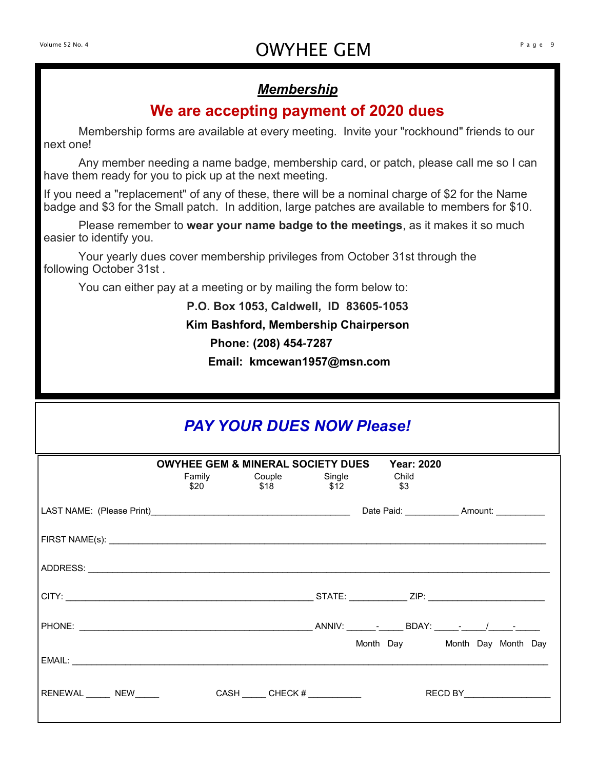# **We are accepting payment of 2020 dues**

Membership forms are available at every meeting. Invite your "rockhound" friends to our next one!

Any member needing a name badge, membership card, or patch, please call me so I can have them ready for you to pick up at the next meeting.

If you need a "replacement" of any of these, there will be a nominal charge of \$2 for the Name badge and \$3 for the Small patch. In addition, large patches are available to members for \$10.

Please remember to **wear your name badge to the meetings**, as it makes it so much easier to identify you.

Your yearly dues cover membership privileges from October 31st through the following October 31st .

You can either pay at a meeting or by mailing the form below to:

**P.O. Box 1053, Caldwell, ID 83605-1053 Kim Bashford, Membership Chairperson Phone: (208) 454-7287 Email: kmcewan1957@msn.com**

*PAY YOUR DUES NOW Please!*

|                           | <b>OWYHEE GEM &amp; MINERAL SOCIETY DUES</b> |  |                                                      |  |  | <b>Year: 2020</b>                              |  |  |
|---------------------------|----------------------------------------------|--|------------------------------------------------------|--|--|------------------------------------------------|--|--|
|                           |                                              |  | Family Couple Single Child<br>$$20$ $$18$ $$12$ $$3$ |  |  |                                                |  |  |
|                           |                                              |  |                                                      |  |  |                                                |  |  |
|                           |                                              |  |                                                      |  |  | Date Paid: _______________ Amount: ___________ |  |  |
|                           |                                              |  |                                                      |  |  |                                                |  |  |
|                           |                                              |  |                                                      |  |  |                                                |  |  |
|                           |                                              |  |                                                      |  |  |                                                |  |  |
|                           |                                              |  |                                                      |  |  |                                                |  |  |
|                           |                                              |  |                                                      |  |  | Month Day Month Day Month Day                  |  |  |
|                           |                                              |  |                                                      |  |  |                                                |  |  |
| RENEWAL _______ NEW______ |                                              |  | $CASH$ _______ CHECK # ____________                  |  |  |                                                |  |  |